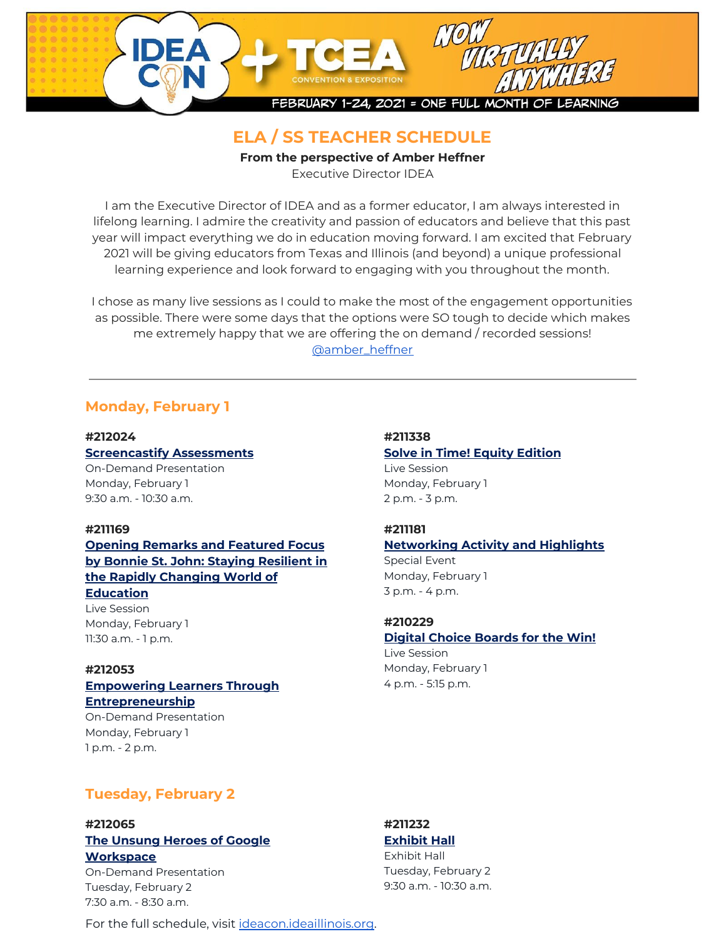

# **ELA / SS TEACHER SCHEDULE**

**From the perspective of Amber Heffner**

Executive Director IDEA

I am the Executive Director of IDEA and as a former educator, I am always interested in lifelong learning. I admire the creativity and passion of educators and believe that this past year will impact everything we do in education moving forward. I am excited that February 2021 will be giving educators from Texas and Illinois (and beyond) a unique professional learning experience and look forward to engaging with you throughout the month.

I chose as many live sessions as I could to make the most of the engagement opportunities as possible. There were some days that the options were SO tough to decide which makes me extremely happy that we are offering the on demand / recorded sessions! [@amber\\_heffner](https://twitter.com/amber_heffner)

# **Monday, February 1**

**#212024 [Screencastify](https://register.tcea.org/session_list.cfm?session_key=CF8ECD97-2B25-EB11-80EC-F6B8F9B5AAD5&session_date=Monday,%20Feb%2001,%202021) Assessments** On-Demand Presentation Monday, February 1

9:30 a.m. - 10:30 a.m.

### **#211169**

**Opening Remarks and [Featured](https://register.tcea.org/session_list.cfm?session_key=7C79CC8B-F04D-A206-2B64-7AE79BA8E975&session_date=Monday,%20Feb%2001,%202021) Focus by Bonnie St. John: Staying [Resilient](https://register.tcea.org/session_list.cfm?session_key=7C79CC8B-F04D-A206-2B64-7AE79BA8E975&session_date=Monday,%20Feb%2001,%202021) in the Rapidly [Changing](https://register.tcea.org/session_list.cfm?session_key=7C79CC8B-F04D-A206-2B64-7AE79BA8E975&session_date=Monday,%20Feb%2001,%202021) World of**

### **[Education](https://register.tcea.org/session_list.cfm?session_key=7C79CC8B-F04D-A206-2B64-7AE79BA8E975&session_date=Monday,%20Feb%2001,%202021)**

Live Session Monday, February 1 11:30 a.m. - 1 p.m.

#### **#212053**

### **[Empowering](https://register.tcea.org/session_list.cfm?session_key=EE8ECD97-2B25-EB11-80EC-F6B8F9B5AAD5&session_date=Monday,%20Feb%2001,%202021) Learners Through [Entrepreneurship](https://register.tcea.org/session_list.cfm?session_key=EE8ECD97-2B25-EB11-80EC-F6B8F9B5AAD5&session_date=Monday,%20Feb%2001,%202021)**

On-Demand Presentation Monday, February 1 1 p.m. - 2 p.m.

**#211338 Solve in Time! Equity [Edition](https://register.tcea.org/session_list.cfm?session_key=52674BF3-F04D-A206-2B64-F0FFDBF67321&session_date=Monday,%20Feb%2001,%202021)** Live Session Monday, February 1 2 p.m. - 3 p.m.

### **#211181**

**[Networking](https://register.tcea.org/session_list.cfm?session_key=7D658BD8-F04D-A206-2B64-41922C48BCCB&session_date=Monday,%20Feb%2001,%202021) Activity and Highlights** Special Event

Monday, February 1 3 p.m. - 4 p.m.

## **#210229**

# **Digital Choice [Boards](https://register.tcea.org/session_list.cfm?session_key=71021F5C-F04D-A206-2B64-1375716A5A9D&session_date=Monday,%20Feb%2001,%202021) for the Win!**

Live Session Monday, February 1 4 p.m. - 5:15 p.m.

# **Tuesday, February 2**

### **#212065**

## **The [Unsung](https://register.tcea.org/session_list.cfm?session_key=FA8ECD97-2B25-EB11-80EC-F6B8F9B5AAD5&session_date=Tuesday,%20Feb%2002,%202021) Heroes of Google [Workspace](https://register.tcea.org/session_list.cfm?session_key=FA8ECD97-2B25-EB11-80EC-F6B8F9B5AAD5&session_date=Tuesday,%20Feb%2002,%202021)**

On-Demand Presentation Tuesday, February 2 7:30 a.m. - 8:30 a.m.

### **#211232 [Exhibit](https://register.tcea.org/session_list.cfm?session_key=B542BFEA-F04D-A206-2B64-D9773B001152&session_date=Tuesday,%20Feb%2002,%202021) Hall**

Exhibit Hall Tuesday, February 2 9:30 a.m. - 10:30 a.m.

For the full schedule, visit [ideacon.ideaillinois.org.](https://ideacon.ideaillinois.org/)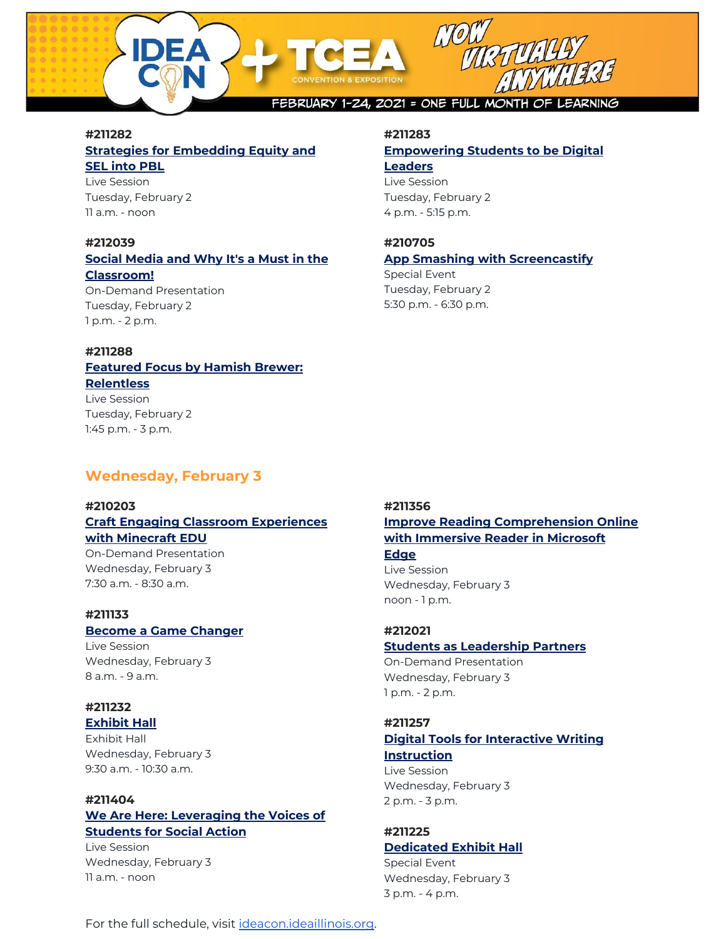

### **#211282**

## **Strategies for [Embedding](https://register.tcea.org/session_list.cfm?session_key=4DF64520-F04D-A206-2B64-D133B112D7CD&session_date=Tuesday,%20Feb%2002,%202021) Equity and SEL into [PBL](https://register.tcea.org/session_list.cfm?session_key=4DF64520-F04D-A206-2B64-D133B112D7CD&session_date=Tuesday,%20Feb%2002,%202021)**

Live Session Tuesday, February 2 11 a.m. - noon

## **#212039**

## **Social [Media](https://register.tcea.org/session_list.cfm?session_key=DE8ECD97-2B25-EB11-80EC-F6B8F9B5AAD5&session_date=Tuesday,%20Feb%2002,%202021) and Why It's a Must in the [Classroom!](https://register.tcea.org/session_list.cfm?session_key=DE8ECD97-2B25-EB11-80EC-F6B8F9B5AAD5&session_date=Tuesday,%20Feb%2002,%202021)**

On-Demand Presentation Tuesday, February 2 1 p.m. - 2 p.m.

#### **#211288**

### **[Featured](https://register.tcea.org/session_list.cfm?session_key=4EF56159-F04D-A206-2B64-ECA224DE205D&session_date=Tuesday,%20Feb%2002,%202021) Focus by Hamish Brewer: [Relentless](https://register.tcea.org/session_list.cfm?session_key=4EF56159-F04D-A206-2B64-ECA224DE205D&session_date=Tuesday,%20Feb%2002,%202021)** Live Session

Tuesday, February 2 1:45 p.m. - 3 p.m.

## **Wednesday, February 3**

#### **#210203**

# **Craft Engaging Classroom [Experiences](https://register.tcea.org/session_list.cfm?session_key=FEC789B1-F04D-A206-2B64-8827CD01EDC7&session_date=Wednesday,%20Feb%2003,%202021) with [Minecraft](https://register.tcea.org/session_list.cfm?session_key=FEC789B1-F04D-A206-2B64-8827CD01EDC7&session_date=Wednesday,%20Feb%2003,%202021) EDU**

On-Demand Presentation Wednesday, February 3 7:30 a.m. - 8:30 a.m.

### **#211133**

#### **Become a Game [Changer](https://register.tcea.org/session_list.cfm?session_key=64BB1F7D-F04D-A206-2B64-14911D2B37D0&session_date=Wednesday,%20Feb%2003,%202021)**

Live Session Wednesday, February 3 8 a.m. - 9 a.m.

### **#211232**

#### **[Exhibit](https://register.tcea.org/session_list.cfm?session_key=B542BFEA-F04D-A206-2B64-D9773B001152&session_date=Wednesday,%20Feb%2003,%202021) Hall** Exhibit Hall Wednesday, February 3 9:30 a.m. - 10:30 a.m.

# **#211404**

## **We Are Here: [Leveraging](https://register.tcea.org/session_list.cfm?session_key=0B94140F-F04D-A206-2B64-2272857231B4&session_date=Wednesday,%20Feb%2003,%202021) the Voices of [Students](https://register.tcea.org/session_list.cfm?session_key=0B94140F-F04D-A206-2B64-2272857231B4&session_date=Wednesday,%20Feb%2003,%202021) for Social Action**

Live Session Wednesday, February 3 11 a.m. - noon

#### **#211283**

#### **[Empowering](https://register.tcea.org/session_list.cfm?session_key=4DF61AC6-F04D-A206-2B64-9B376E14905F&session_date=Tuesday,%20Feb%2002,%202021) Students to be Digital [Leaders](https://register.tcea.org/session_list.cfm?session_key=4DF61AC6-F04D-A206-2B64-9B376E14905F&session_date=Tuesday,%20Feb%2002,%202021)**

Live Session Tuesday, February 2 4 p.m. - 5:15 p.m.

### **#210705**

#### **App Smashing with [Screencastify](https://register.tcea.org/session_list.cfm?session_key=FEC3D57C-F04D-A206-2B64-B5CC1C7E4BD1&session_date=Tuesday,%20Feb%2002,%202021)**

Special Event Tuesday, February 2 5:30 p.m. - 6:30 p.m.

## **#211356 Improve Reading [Comprehension](https://register.tcea.org/session_list.cfm?session_key=52799497-F04D-A206-2B64-A5E1317F550A&session_date=Wednesday,%20Feb%2003,%202021) Online with [Immersive](https://register.tcea.org/session_list.cfm?session_key=52799497-F04D-A206-2B64-A5E1317F550A&session_date=Wednesday,%20Feb%2003,%202021) Reader in Microsoft**

### **[Edge](https://register.tcea.org/session_list.cfm?session_key=52799497-F04D-A206-2B64-A5E1317F550A&session_date=Wednesday,%20Feb%2003,%202021)**

Live Session Wednesday, February 3 noon - 1 p.m.

#### **#212021 Students as [Leadership](https://register.tcea.org/session_list.cfm?session_key=CC8ECD97-2B25-EB11-80EC-F6B8F9B5AAD5&session_date=Wednesday,%20Feb%2003,%202021) Partners**

On-Demand Presentation Wednesday, February 3 1 p.m. - 2 p.m.

#### **#211257**

### **Digital Tools for [Interactive](https://register.tcea.org/session_list.cfm?session_key=0A369C74-F04D-A206-2B64-597997D1C6EC&session_date=Wednesday,%20Feb%2003,%202021) Writing [Instruction](https://register.tcea.org/session_list.cfm?session_key=0A369C74-F04D-A206-2B64-597997D1C6EC&session_date=Wednesday,%20Feb%2003,%202021)** Live Session

Wednesday, February 3 2 p.m. - 3 p.m.

# **#211225**

# **[Dedicated](https://register.tcea.org/session_list.cfm?session_key=B542A0A0-F04D-A206-2B64-8ED5B3A80075&session_date=Wednesday,%20Feb%2003,%202021) Exhibit Hall**

Special Event Wednesday, February 3 3 p.m. - 4 p.m.

For the full schedule, visit [ideacon.ideaillinois.org.](https://ideacon.ideaillinois.org/)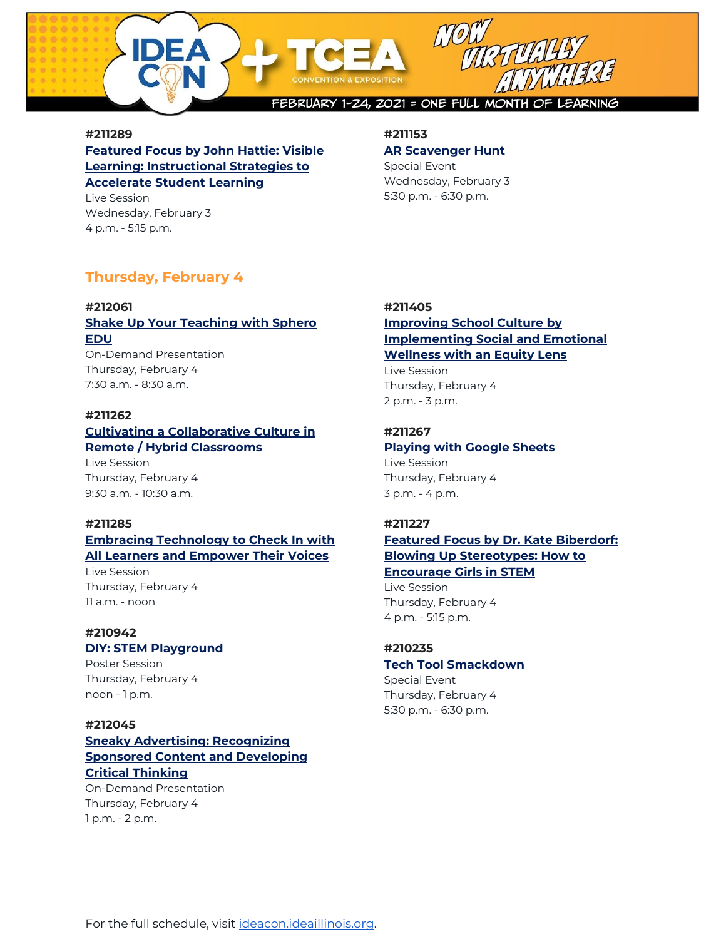

#### **#211289**

**[Featured](https://register.tcea.org/session_list.cfm?session_key=4EF5721E-F04D-A206-2B64-988CD5F1DED9&session_date=Wednesday,%20Feb%2003,%202021) Focus by John Hattie: Visible Learning: [Instructional](https://register.tcea.org/session_list.cfm?session_key=4EF5721E-F04D-A206-2B64-988CD5F1DED9&session_date=Wednesday,%20Feb%2003,%202021) Strategies to [Accelerate](https://register.tcea.org/session_list.cfm?session_key=4EF5721E-F04D-A206-2B64-988CD5F1DED9&session_date=Wednesday,%20Feb%2003,%202021) Student Learning**

Live Session Wednesday, February 3 4 p.m. - 5:15 p.m.

## **#211153**

#### **AR [Scavenger](https://register.tcea.org/session_list.cfm?session_key=7081916D-F04D-A206-2B64-8C472F1027FD&session_date=Wednesday,%20Feb%2003,%202021) Hunt**

Special Event Wednesday, February 3 5:30 p.m. - 6:30 p.m.

# **Thursday, February 4**

# **#212061**

## **Shake Up Your [Teaching](https://register.tcea.org/session_list.cfm?session_key=F68ECD97-2B25-EB11-80EC-F6B8F9B5AAD5&session_date=Thursday,%20Feb%2004,%202021) with Sphero [EDU](https://register.tcea.org/session_list.cfm?session_key=F68ECD97-2B25-EB11-80EC-F6B8F9B5AAD5&session_date=Thursday,%20Feb%2004,%202021)**

On-Demand Presentation Thursday, February 4 7:30 a.m. - 8:30 a.m.

#### **#211262**

### **Cultivating a [Collaborative](https://register.tcea.org/session_list.cfm?session_key=0A367F4C-F04D-A206-2B64-0B1C6F56A4B1&session_date=Thursday,%20Feb%2004,%202021) Culture in Remote / Hybrid [Classrooms](https://register.tcea.org/session_list.cfm?session_key=0A367F4C-F04D-A206-2B64-0B1C6F56A4B1&session_date=Thursday,%20Feb%2004,%202021)**

Live Session Thursday, February 4 9:30 a.m. - 10:30 a.m.

### **#211285**

## **Embracing [Technology](https://register.tcea.org/session_list.cfm?session_key=4DF60DB2-F04D-A206-2B64-BE951EA9BAED&session_date=Thursday,%20Feb%2004,%202021) to Check In with All Learners and [Empower](https://register.tcea.org/session_list.cfm?session_key=4DF60DB2-F04D-A206-2B64-BE951EA9BAED&session_date=Thursday,%20Feb%2004,%202021) Their Voices**

Live Session Thursday, February 4 11 a.m. - noon

### **#210942**

### **DIY: STEM [Playground](https://register.tcea.org/session_list.cfm?session_key=FECA5D43-F04D-A206-2B64-C3202383198B&session_date=Friday,%20Feb%2005,%202021)**

Poster Session Thursday, February 4 noon - 1 p.m.

### **#212045**

## **Sneaky Advertising: [Recognizing](https://register.tcea.org/session_list.cfm?session_key=E48ECD97-2B25-EB11-80EC-F6B8F9B5AAD5&session_date=Thursday,%20Feb%2004,%202021) Sponsored Content and [Developing](https://register.tcea.org/session_list.cfm?session_key=E48ECD97-2B25-EB11-80EC-F6B8F9B5AAD5&session_date=Thursday,%20Feb%2004,%202021) Critical [Thinking](https://register.tcea.org/session_list.cfm?session_key=E48ECD97-2B25-EB11-80EC-F6B8F9B5AAD5&session_date=Thursday,%20Feb%2004,%202021)**

On-Demand Presentation Thursday, February 4 1 p.m. - 2 p.m.

### **#211405**

## **[Improving](https://register.tcea.org/session_list.cfm?session_key=0B93E8A2-F04D-A206-2B64-CE2E8A755F55&session_date=Thursday,%20Feb%2004,%202021) School Culture by [Implementing](https://register.tcea.org/session_list.cfm?session_key=0B93E8A2-F04D-A206-2B64-CE2E8A755F55&session_date=Thursday,%20Feb%2004,%202021) Social and Emotional [Wellness](https://register.tcea.org/session_list.cfm?session_key=0B93E8A2-F04D-A206-2B64-CE2E8A755F55&session_date=Thursday,%20Feb%2004,%202021) with an Equity Lens**

Live Session Thursday, February 4 2 p.m. - 3 p.m.

#### **#211267**

# **[Playing](https://register.tcea.org/session_list.cfm?session_key=0A37C3CD-F04D-A206-2B64-5A7A4E020E4E&session_date=Thursday,%20Feb%2004,%202021) with Google Sheets**

Live Session Thursday, February 4 3 p.m. - 4 p.m.

#### **#211227**

## **Featured Focus by Dr. Kate [Biberdorf:](https://register.tcea.org/session_list.cfm?session_key=B542E0D4-F04D-A206-2B64-EAABBF9A37F6&session_date=Thursday,%20Feb%2004,%202021) Blowing Up [Stereotypes:](https://register.tcea.org/session_list.cfm?session_key=B542E0D4-F04D-A206-2B64-EAABBF9A37F6&session_date=Thursday,%20Feb%2004,%202021) How to [Encourage](https://register.tcea.org/session_list.cfm?session_key=B542E0D4-F04D-A206-2B64-EAABBF9A37F6&session_date=Thursday,%20Feb%2004,%202021) Girls in STEM**

Live Session Thursday, February 4 4 p.m. - 5:15 p.m.

#### **#210235**

# **Tech Tool [Smackdown](https://register.tcea.org/session_list.cfm?session_key=7102338F-F04D-A206-2B64-C8FF50715922&session_date=Thursday,%20Feb%2004,%202021)**

Special Event Thursday, February 4 5:30 p.m. - 6:30 p.m.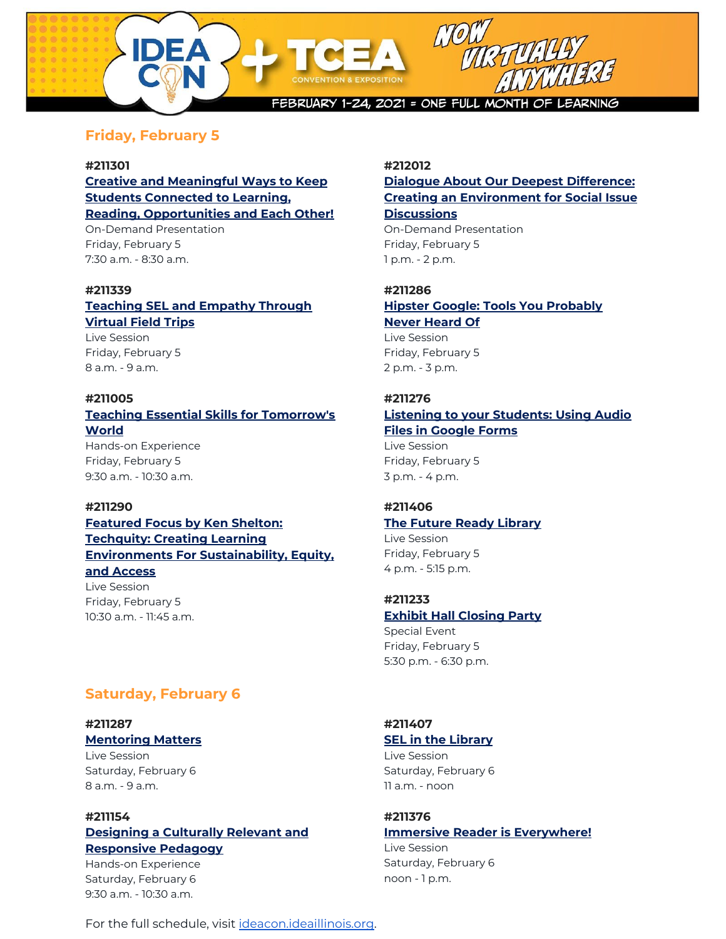

# **Friday, February 5**

#### **#211301**

**Creative and [Meaningful](https://register.tcea.org/session_list.cfm?session_key=1918DC93-F04D-A206-2B64-17CDCC3C9187&session_date=Friday,%20Feb%2005,%202021) Ways to Keep Students [Connected](https://register.tcea.org/session_list.cfm?session_key=1918DC93-F04D-A206-2B64-17CDCC3C9187&session_date=Friday,%20Feb%2005,%202021) to Learning, Reading, [Opportunities](https://register.tcea.org/session_list.cfm?session_key=1918DC93-F04D-A206-2B64-17CDCC3C9187&session_date=Friday,%20Feb%2005,%202021) and Each Other!** On-Demand Presentation Friday, February 5 7:30 a.m. - 8:30 a.m.

#### **#211339**

# **[Teaching](https://register.tcea.org/session_list.cfm?session_key=52675B31-F04D-A206-2B64-9726DCEBBCD9&session_date=Friday,%20Feb%2005,%202021) SEL and Empathy Through [Virtual](https://register.tcea.org/session_list.cfm?session_key=52675B31-F04D-A206-2B64-9726DCEBBCD9&session_date=Friday,%20Feb%2005,%202021) Field Trips**

Live Session Friday, February 5 8 a.m. - 9 a.m.

### **#211005**

# **Teaching Essential Skills for [Tomorrow's](https://register.tcea.org/session_list.cfm?session_key=FED82B24-F04D-A206-2B64-F174ACF806F5&session_date=Friday,%20Feb%2005,%202021) [World](https://register.tcea.org/session_list.cfm?session_key=FED82B24-F04D-A206-2B64-F174ACF806F5&session_date=Friday,%20Feb%2005,%202021)**

Hands-on Experience Friday, February 5 9:30 a.m. - 10:30 a.m.

#### **#211290**

## **[Featured](https://register.tcea.org/session_list.cfm?session_key=4EF581AC-F04D-A206-2B64-250223D9D46E&session_date=Friday,%20Feb%2005,%202021) Focus by Ken Shelton: [Techquity:](https://register.tcea.org/session_list.cfm?session_key=4EF581AC-F04D-A206-2B64-250223D9D46E&session_date=Friday,%20Feb%2005,%202021) Creating Learning Environments For [Sustainability,](https://register.tcea.org/session_list.cfm?session_key=4EF581AC-F04D-A206-2B64-250223D9D46E&session_date=Friday,%20Feb%2005,%202021) Equity, and [Access](https://register.tcea.org/session_list.cfm?session_key=4EF581AC-F04D-A206-2B64-250223D9D46E&session_date=Friday,%20Feb%2005,%202021)** Live Session Friday, February 5 10:30 a.m. - 11:45 a.m.

# **Saturday, February 6**

### **#211287 [Mentoring](https://register.tcea.org/session_list.cfm?session_key=4DF63745-F04D-A206-2B64-1B6C0F4E9DA2&session_date=Saturday,%20Feb%2006,%202021) Matters**

Live Session Saturday, February 6 8 a.m. - 9 a.m.

# **#211154**

## **[Designing](https://register.tcea.org/session_list.cfm?session_key=722574F5-F04D-A206-2B64-6B6E5B74B61C&session_date=Saturday,%20Feb%2006,%202021) a Culturally Relevant and [Responsive](https://register.tcea.org/session_list.cfm?session_key=722574F5-F04D-A206-2B64-6B6E5B74B61C&session_date=Saturday,%20Feb%2006,%202021) Pedagogy**

Hands-on Experience Saturday, February 6 9:30 a.m. - 10:30 a.m.

### **#212012**

## **Dialogue About Our Deepest [Difference:](https://register.tcea.org/session_list.cfm?session_key=C38ECD97-2B25-EB11-80EC-F6B8F9B5AAD5&session_date=Friday,%20Feb%2005,%202021) Creating an [Environment](https://register.tcea.org/session_list.cfm?session_key=C38ECD97-2B25-EB11-80EC-F6B8F9B5AAD5&session_date=Friday,%20Feb%2005,%202021) for Social Issue [Discussions](https://register.tcea.org/session_list.cfm?session_key=C38ECD97-2B25-EB11-80EC-F6B8F9B5AAD5&session_date=Friday,%20Feb%2005,%202021)**

On-Demand Presentation Friday, February 5 1 p.m. - 2 p.m.

# **#211286 Hipster Google: Tools You [Probably](https://register.tcea.org/session_list.cfm?session_key=4DF62902-F04D-A206-2B64-E505C388E933&session_date=Friday,%20Feb%2005,%202021) Never [Heard](https://register.tcea.org/session_list.cfm?session_key=4DF62902-F04D-A206-2B64-E505C388E933&session_date=Friday,%20Feb%2005,%202021) Of**

Live Session Friday, February 5 2 p.m. - 3 p.m.

## **#211276**

### **Listening to your [Students:](https://register.tcea.org/session_list.cfm?session_key=0A37A836-F04D-A206-2B64-D75D335E9E98&session_date=Friday,%20Feb%2005,%202021) Using Audio Files in [Google](https://register.tcea.org/session_list.cfm?session_key=0A37A836-F04D-A206-2B64-D75D335E9E98&session_date=Friday,%20Feb%2005,%202021) Forms** Live Session

Friday, February 5 3 p.m. - 4 p.m.

### **#211406**

# **The Future Ready [Library](https://register.tcea.org/session_list.cfm?session_key=0B940573-F04D-A206-2B64-F35981654FE7&session_date=Friday,%20Feb%2005,%202021)**

Live Session Friday, February 5 4 p.m. - 5:15 p.m.

## **#211233**

## **Exhibit Hall [Closing](https://register.tcea.org/session_list.cfm?session_key=B542D1D5-F04D-A206-2B64-92D5A0C8462A&session_date=Friday,%20Feb%2005,%202021) Party**

Special Event Friday, February 5 5:30 p.m. - 6:30 p.m.

## **#211407**

## **SEL in the [Library](https://register.tcea.org/session_list.cfm?session_key=0B93F6DD-F04D-A206-2B64-F666FD106346&session_date=Saturday,%20Feb%2006,%202021)**

Live Session Saturday, February 6 11 a.m. - noon

#### **#211376 Immersive Reader is [Everywhere!](https://register.tcea.org/session_list.cfm?session_key=52798698-F04D-A206-2B64-CDDAD61BF174&session_date=Saturday,%20Feb%2006,%202021)**

Live Session Saturday, February 6 noon - 1 p.m.

For the full schedule, visit [ideacon.ideaillinois.org.](https://ideacon.ideaillinois.org/)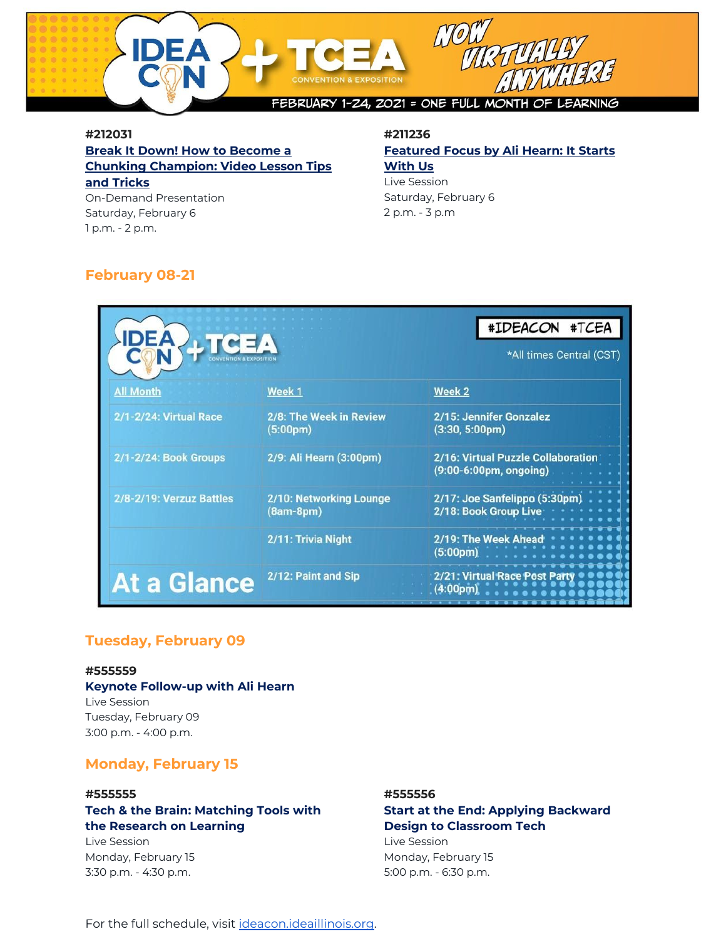

## **#212031 Break It Down! How to [Become](https://register.tcea.org/session_list.cfm?session_key=D68ECD97-2B25-EB11-80EC-F6B8F9B5AAD5&session_date=Saturday,%20Feb%2006,%202021) a Chunking [Champion:](https://register.tcea.org/session_list.cfm?session_key=D68ECD97-2B25-EB11-80EC-F6B8F9B5AAD5&session_date=Saturday,%20Feb%2006,%202021) Video Lesson Tips and [Tricks](https://register.tcea.org/session_list.cfm?session_key=D68ECD97-2B25-EB11-80EC-F6B8F9B5AAD5&session_date=Saturday,%20Feb%2006,%202021)**

On-Demand Presentation Saturday, February 6 1 p.m. - 2 p.m.

### **#211236 [Featured](https://register.tcea.org/session_list.cfm?session_key=5FBD4492-F04D-A206-2B64-55E92921A3D3&session_date=Saturday,%20Feb%2006,%202021) Focus by Ali Hearn: It Starts [With](https://register.tcea.org/session_list.cfm?session_key=5FBD4492-F04D-A206-2B64-55E92921A3D3&session_date=Saturday,%20Feb%2006,%202021) Us**

Live Session Saturday, February 6 2 p.m. - 3 p.m

# **February 08-21**

| <b>DICEA</b>             |                                                  | #IDEACON #TCEA<br>*All times Central (CST)                   |
|--------------------------|--------------------------------------------------|--------------------------------------------------------------|
| <b>All Month</b>         | Week 1                                           | Week 2                                                       |
| 2/1-2/24: Virtual Race   | 2/8: The Week in Review<br>(5:00 <sub>pm</sub> ) | 2/15: Jennifer Gonzalez<br>$(3:30, 5:00 \text{pm})$          |
| 2/1-2/24: Book Groups    | 2/9: Ali Hearn (3:00pm)                          | 2/16: Virtual Puzzle Collaboration<br>(9:00-6:00pm, ongoing) |
| 2/8-2/19: Verzuz Battles | 2/10: Networking Lounge<br>$(8am-8pm)$           | 2/17: Joe Sanfelippo (5:30pm)<br>2/18: Book Group Live       |
|                          | 2/11: Trivia Night                               | 2/19: The Week Ahead<br>(5:00 <sub>pm</sub> )                |
| <b>At a Glance</b>       | 2/12: Paint and Sip                              | 2/21: Virtual Race Post P<br>(4:00pm)                        |

# **Tuesday, February 09**

#### **#555559**

## **Keynote Follow-up with Ali Hearn**

Live Session Tuesday, February 09 3:00 p.m. - 4:00 p.m.

# **Monday, February 15**

#### **#555555**

# **Tech & the Brain: Matching Tools with the Research on Learning**

Live Session Monday, February 15 3:30 p.m. - 4:30 p.m.

### **#555556**

## **Start at the End: Applying Backward Design to Classroom Tech**

Live Session Monday, February 15 5:00 p.m. - 6:30 p.m.

For the full schedule, visit [ideacon.ideaillinois.org.](https://ideacon.ideaillinois.org/)